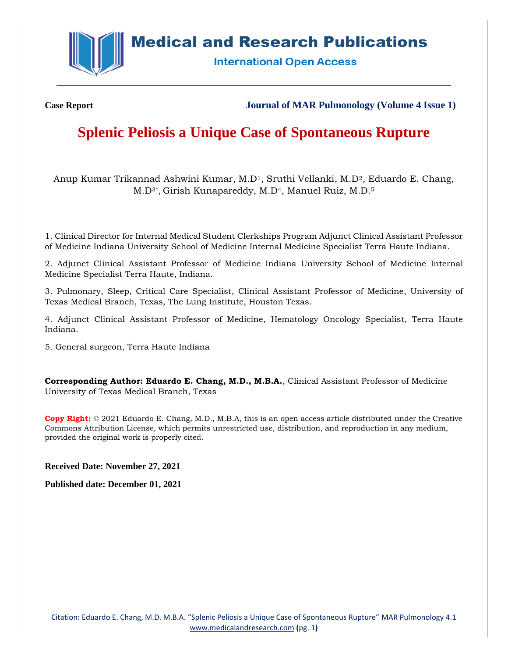

## **Medical and Research Publications**

**International Open Access** 

**Case Report Journal of MAR Pulmonology (Volume 4 Issue 1)**

# **Splenic Peliosis a Unique Case of Spontaneous Rupture**

Anup Kumar Trikannad Ashwini Kumar, M.D1, Sruthi Vellanki, M.D2, Eduardo E. Chang, M.D3\*, Girish Kunapareddy, M.D4, Manuel Ruiz, M.D.<sup>5</sup>

1. Clinical Director for Internal Medical Student Clerkships Program Adjunct Clinical Assistant Professor of Medicine Indiana University School of Medicine Internal Medicine Specialist Terra Haute Indiana.

2. Adjunct Clinical Assistant Professor of Medicine Indiana University School of Medicine Internal Medicine Specialist Terra Haute, Indiana.

3. Pulmonary, Sleep, Critical Care Specialist, Clinical Assistant Professor of Medicine, University of Texas Medical Branch, Texas, The Lung Institute, Houston Texas.

4. Adjunct Clinical Assistant Professor of Medicine, Hematology Oncology Specialist, Terra Haute Indiana.

5. General surgeon, Terra Haute Indiana

**Corresponding Author: Eduardo E. Chang, M.D., M.B.A.**, Clinical Assistant Professor of Medicine University of Texas Medical Branch, Texas

**Copy Right:** © 2021 Eduardo E. Chang, M.D., M.B.A, this is an open access article distributed under the Creative Commons Attribution License, which permits unrestricted use, distribution, and reproduction in any medium, provided the original work is properly cited.

**Received Date: November 27, 2021**

**Published date: December 01, 2021**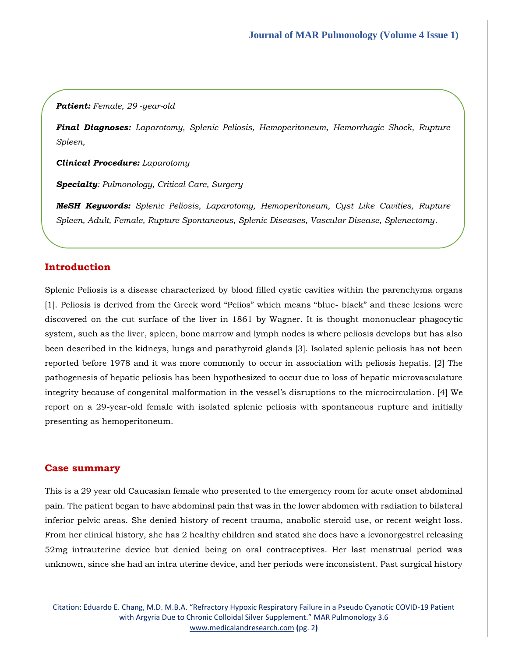#### *Patient: Female, 29 -year-old*

*Final Diagnoses: Laparotomy, Splenic Peliosis, Hemoperitoneum, Hemorrhagic Shock, Rupture Spleen,*

*Clinical Procedure: Laparotomy*

*Specialty: Pulmonology, Critical Care, Surgery*

*MeSH Keywords: Splenic Peliosis, Laparotomy, Hemoperitoneum, Cyst Like Cavities, Rupture Spleen, Adult, Female, Rupture Spontaneous, Splenic Diseases, Vascular Disease, Splenectomy.*

### **Introduction**

Splenic Peliosis is a disease characterized by blood filled cystic cavities within the parenchyma organs [1]. Peliosis is derived from the Greek word "Pelios" which means "blue- black" and these lesions were discovered on the cut surface of the liver in 1861 by Wagner. It is thought mononuclear phagocytic system, such as the liver, spleen, bone marrow and lymph nodes is where peliosis develops but has also been described in the kidneys, lungs and parathyroid glands [3]. Isolated splenic peliosis has not been reported before 1978 and it was more commonly to occur in association with peliosis hepatis. [2] The pathogenesis of hepatic peliosis has been hypothesized to occur due to loss of hepatic microvasculature integrity because of congenital malformation in the vessel's disruptions to the microcirculation. [4] We report on a 29-year-old female with isolated splenic peliosis with spontaneous rupture and initially presenting as hemoperitoneum.

#### **Case summary**

This is a 29 year old Caucasian female who presented to the emergency room for acute onset abdominal pain. The patient began to have abdominal pain that was in the lower abdomen with radiation to bilateral inferior pelvic areas. She denied history of recent trauma, anabolic steroid use, or recent weight loss. From her clinical history, she has 2 healthy children and stated she does have a levonorgestrel releasing 52mg intrauterine device but denied being on oral contraceptives. Her last menstrual period was unknown, since she had an intra uterine device, and her periods were inconsistent. Past surgical history

Citation: Eduardo E. Chang, M.D. M.B.A. "Refractory Hypoxic Respiratory Failure in a Pseudo Cyanotic COVID-19 Patient with Argyria Due to Chronic Colloidal Silver Supplement." MAR Pulmonology 3.6 [www.medicalandresearch.com](http://www.medicalandresearch.com/) **(**pg. 2**)**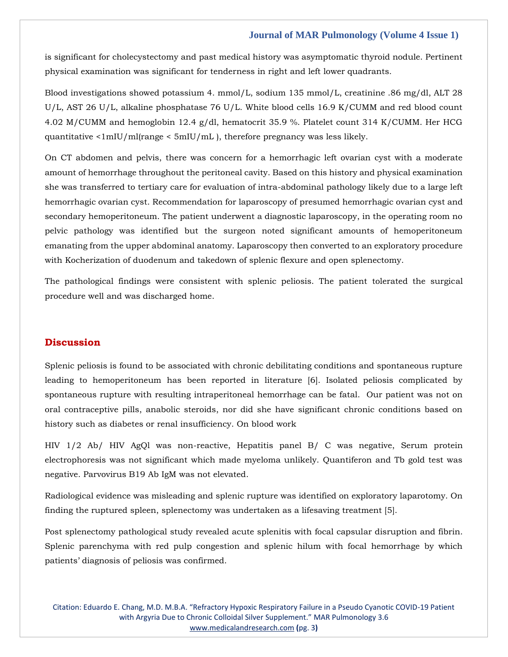#### **Journal of MAR Pulmonology (Volume 4 Issue 1)**

is significant for cholecystectomy and past medical history was asymptomatic thyroid nodule. Pertinent physical examination was significant for tenderness in right and left lower quadrants.

Blood investigations showed potassium 4. mmol/L, sodium 135 mmol/L, creatinine .86 mg/dl, ALT 28 U/L, AST 26 U/L, alkaline phosphatase 76 U/L. White blood cells 16.9 K/CUMM and red blood count 4.02 M/CUMM and hemoglobin 12.4 g/dl, hematocrit 35.9 %. Platelet count 314 K/CUMM. Her HCG quantitative <1mIU/ml(range < 5mIU/mL ), therefore pregnancy was less likely.

On CT abdomen and pelvis, there was concern for a hemorrhagic left ovarian cyst with a moderate amount of hemorrhage throughout the peritoneal cavity. Based on this history and physical examination she was transferred to tertiary care for evaluation of intra-abdominal pathology likely due to a large left hemorrhagic ovarian cyst. Recommendation for laparoscopy of presumed hemorrhagic ovarian cyst and secondary hemoperitoneum. The patient underwent a diagnostic laparoscopy, in the operating room no pelvic pathology was identified but the surgeon noted significant amounts of hemoperitoneum emanating from the upper abdominal anatomy. Laparoscopy then converted to an exploratory procedure with Kocherization of duodenum and takedown of splenic flexure and open splenectomy.

The pathological findings were consistent with splenic peliosis. The patient tolerated the surgical procedure well and was discharged home.

## **Discussion**

Splenic peliosis is found to be associated with chronic debilitating conditions and spontaneous rupture leading to hemoperitoneum has been reported in literature [6]. Isolated peliosis complicated by spontaneous rupture with resulting intraperitoneal hemorrhage can be fatal. Our patient was not on oral contraceptive pills, anabolic steroids, nor did she have significant chronic conditions based on history such as diabetes or renal insufficiency. On blood work

HIV 1/2 Ab/ HIV AgQl was non-reactive, Hepatitis panel B/ C was negative, Serum protein electrophoresis was not significant which made myeloma unlikely. Quantiferon and Tb gold test was negative. Parvovirus B19 Ab IgM was not elevated.

Radiological evidence was misleading and splenic rupture was identified on exploratory laparotomy. On finding the ruptured spleen, splenectomy was undertaken as a lifesaving treatment [5].

Post splenectomy pathological study revealed acute splenitis with focal capsular disruption and fibrin. Splenic parenchyma with red pulp congestion and splenic hilum with focal hemorrhage by which patients' diagnosis of peliosis was confirmed.

Citation: Eduardo E. Chang, M.D. M.B.A. "Refractory Hypoxic Respiratory Failure in a Pseudo Cyanotic COVID-19 Patient with Argyria Due to Chronic Colloidal Silver Supplement." MAR Pulmonology 3.6 [www.medicalandresearch.com](http://www.medicalandresearch.com/) **(**pg. 3**)**